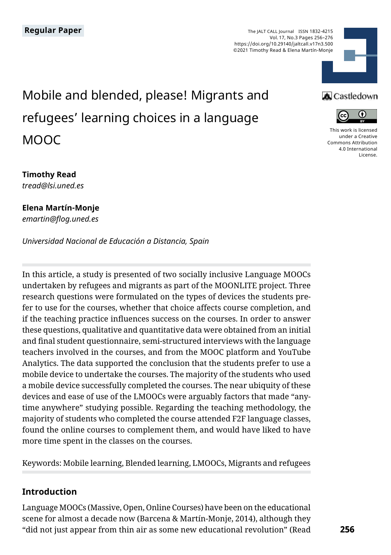The JALT CALL Journal ISSN 1832-4215 Vol. 17, No.3 Pages 256–276 https://doi.org/10.29140/jaltcall.v17n3.500 ©2021 Timothy Read & Elena Martín-Monje



# Mobile and blended, please! Migrants and refugees' learning choices in a language MOOC

### **A** Castledown



[This work is licensed](https://creativecommons.org/licenses/by/4.0/)  [under a Creative](https://creativecommons.org/licenses/by/4.0/)  [Commons Attribution](https://creativecommons.org/licenses/by/4.0/)  [4.0 International](https://creativecommons.org/licenses/by/4.0/)  [License](https://creativecommons.org/licenses/by/4.0/).

# **Timothy Read**

*tread@lsi.uned.es*

#### **Elena Martín-Monje** *emartin@flog.uned.es*

*Universidad Nacional de Educación a Distancia, Spain*

In this article, a study is presented of two socially inclusive Language MOOCs undertaken by refugees and migrants as part of the MOONLITE project. Three research questions were formulated on the types of devices the students prefer to use for the courses, whether that choice affects course completion, and if the teaching practice influences success on the courses. In order to answer these questions, qualitative and quantitative data were obtained from an initial and final student questionnaire, semi-structured interviews with the language teachers involved in the courses, and from the MOOC platform and YouTube Analytics. The data supported the conclusion that the students prefer to use a mobile device to undertake the courses. The majority of the students who used a mobile device successfully completed the courses. The near ubiquity of these devices and ease of use of the LMOOCs were arguably factors that made "anytime anywhere" studying possible. Regarding the teaching methodology, the majority of students who completed the course attended F2F language classes, found the online courses to complement them, and would have liked to have more time spent in the classes on the courses.

Keywords: Mobile learning, Blended learning, LMOOCs, Migrants and refugees

# **Introduction**

Language MOOCs (Massive, Open, Online Courses) have been on the educational scene for almost a decade now (Barcena & Martín-Monje, 2014), although they "did not just appear from thin air as some new educational revolution" (Read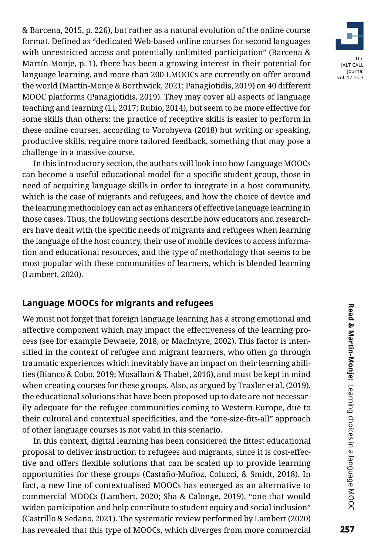& Barcena, 2015, p. 226), but rather as a natural evolution of the online course format. Defined as "dedicated Web-based online courses for second languages with unrestricted access and potentially unlimited participation" (Barcena & Martín-Monje, p. 1), there has been a growing interest in their potential for language learning, and more than 200 LMOOCs are currently on offer around the world (Martín-Monje & Borthwick, 2021; Panagiotidis, 2019) on 40 different MOOC platforms (Panagiotidis, 2019). They may cover all aspects of language teaching and learning (Li, 2017; Rubio, 2014), but seem to be more effective for some skills than others: the practice of receptive skills is easier to perform in these online courses, according to Vorobyeva (2018) but writing or speaking, productive skills, require more tailored feedback, something that may pose a challenge in a massive course.

In this introductory section, the authors will look into how Language MOOCs can become a useful educational model for a specific student group, those in need of acquiring language skills in order to integrate in a host community, which is the case of migrants and refugees, and how the choice of device and the learning methodology can act as enhancers of effective language learning in those cases. Thus, the following sections describe how educators and researchers have dealt with the specific needs of migrants and refugees when learning the language of the host country, their use of mobile devices to access information and educational resources, and the type of methodology that seems to be most popular with these communities of learners, which is blended learning (Lambert, 2020).

# **Language MOOCs for migrants and refugees**

We must not forget that foreign language learning has a strong emotional and affective component which may impact the effectiveness of the learning process (see for example Dewaele, 2018, or MacIntyre, 2002). This factor is intensified in the context of refugee and migrant learners, who often go through traumatic experiences which inevitably have an impact on their learning abilities (Bianco & Cobo, 2019; Mosallam & Thabet, 2016), and must be kept in mind when creating courses for these groups. Also, as argued by Traxler et al. (2019), the educational solutions that have been proposed up to date are not necessarily adequate for the refugee communities coming to Western Europe, due to their cultural and contextual specificities, and the "one-size-fits-all" approach of other language courses is not valid in this scenario.

In this context, digital learning has been considered the fittest educational proposal to deliver instruction to refugees and migrants, since it is cost-effective and offers flexible solutions that can be scaled up to provide learning opportunities for these groups (Castaño-Muñoz, Colucci, & Smidt, 2018). In fact, a new line of contextualised MOOCs has emerged as an alternative to commercial MOOCs (Lambert, 2020; Sha & Calonge, 2019), "one that would widen participation and help contribute to student equity and social inclusion" (Castrillo & Sedano, 2021). The systematic review performed by Lambert (2020) has revealed that this type of MOOCs, which diverges from more commercial

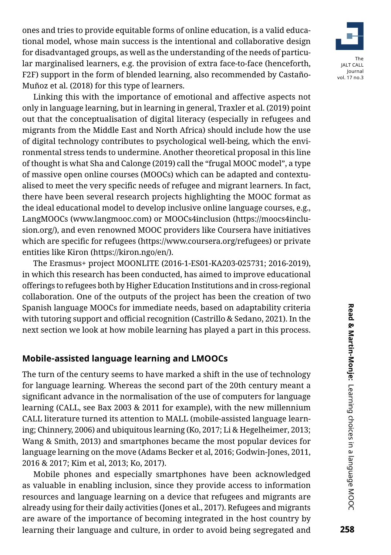ones and tries to provide equitable forms of online education, is a valid educational model, whose main success is the intentional and collaborative design for disadvantaged groups, as well as the understanding of the needs of particular marginalised learners, e.g. the provision of extra face-to-face (henceforth, F2F) support in the form of blended learning, also recommended by Castaño-Muñoz et al. (2018) for this type of learners.

Linking this with the importance of emotional and affective aspects not only in language learning, but in learning in general, Traxler et al. (2019) point out that the conceptualisation of digital literacy (especially in refugees and migrants from the Middle East and North Africa) should include how the use of digital technology contributes to psychological well-being, which the environmental stress tends to undermine. Another theoretical proposal in this line of thought is what Sha and Calonge (2019) call the "frugal MOOC model", a type of massive open online courses (MOOCs) which can be adapted and contextualised to meet the very specific needs of refugee and migrant learners. In fact, there have been several research projects highlighting the MOOC format as the ideal educational model to develop inclusive online language courses, e.g., LangMOOCs (www.langmooc.com) or MOOCs4inclusion (https://moocs4inclusion.org/), and even renowned MOOC providers like Coursera have initiatives which are specific for refugees (https://www.coursera.org/refugees) or private entities like Kiron (https://kiron.ngo/en/).

The Erasmus+ project MOONLITE (2016-1-ES01-KA203-025731; 2016-2019), in which this research has been conducted, has aimed to improve educational offerings to refugees both by Higher Education Institutions and in cross-regional collaboration. One of the outputs of the project has been the creation of two Spanish language MOOCs for immediate needs, based on adaptability criteria with tutoring support and official recognition (Castrillo & Sedano, 2021). In the next section we look at how mobile learning has played a part in this process.

# **Mobile-assisted language learning and LMOOCs**

The turn of the century seems to have marked a shift in the use of technology for language learning. Whereas the second part of the 20th century meant a significant advance in the normalisation of the use of computers for language learning (CALL, see Bax 2003 & 2011 for example), with the new millennium CALL literature turned its attention to MALL (mobile-assisted language learning; Chinnery, 2006) and ubiquitous learning (Ko, 2017; Li & Hegelheimer, 2013; Wang & Smith, 2013) and smartphones became the most popular devices for language learning on the move (Adams Becker et al, 2016; Godwin-Jones, 2011, 2016 & 2017; Kim et al, 2013; Ko, 2017).

Mobile phones and especially smartphones have been acknowledged as valuable in enabling inclusion, since they provide access to information resources and language learning on a device that refugees and migrants are already using for their daily activities (Jones et al., 2017). Refugees and migrants are aware of the importance of becoming integrated in the host country by learning their language and culture, in order to avoid being segregated and

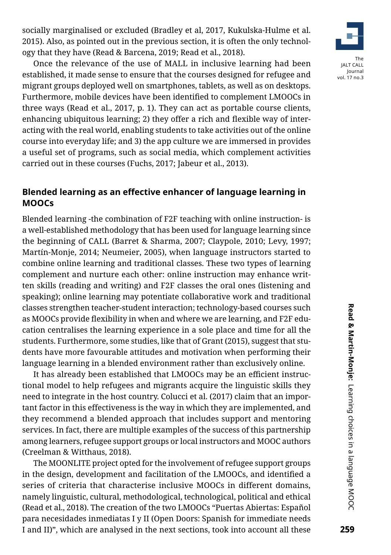socially marginalised or excluded (Bradley et al, 2017, Kukulska-Hulme et al. 2015). Also, as pointed out in the previous section, it is often the only technology that they have (Read & Barcena, 2019; Read et al., 2018).

The JALT CALL

Journal vol. 17 no.3

Once the relevance of the use of MALL in inclusive learning had been established, it made sense to ensure that the courses designed for refugee and migrant groups deployed well on smartphones, tablets, as well as on desktops. Furthermore, mobile devices have been identified to complement LMOOCs in three ways (Read et al., 2017, p. 1). They can act as portable course clients, enhancing ubiquitous learning; 2) they offer a rich and flexible way of interacting with the real world, enabling students to take activities out of the online course into everyday life; and 3) the app culture we are immersed in provides a useful set of programs, such as social media, which complement activities carried out in these courses (Fuchs, 2017; Jabeur et al., 2013).

# **Blended learning as an effective enhancer of language learning in MOOCs**

Blended learning -the combination of F2F teaching with online instruction- is a well-established methodology that has been used for language learning since the beginning of CALL (Barret & Sharma, 2007; Claypole, 2010; Levy, 1997; Martín-Monje, 2014; Neumeier, 2005), when language instructors started to combine online learning and traditional classes. These two types of learning complement and nurture each other: online instruction may enhance written skills (reading and writing) and F2F classes the oral ones (listening and speaking); online learning may potentiate collaborative work and traditional classes strengthen teacher-student interaction; technology-based courses such as MOOCs provide flexibility in when and where we are learning, and F2F education centralises the learning experience in a sole place and time for all the students. Furthermore, some studies, like that of Grant (2015), suggest that students have more favourable attitudes and motivation when performing their language learning in a blended environment rather than exclusively online.

It has already been established that LMOOCs may be an efficient instructional model to help refugees and migrants acquire the linguistic skills they need to integrate in the host country. Colucci et al. (2017) claim that an important factor in this effectiveness is the way in which they are implemented, and they recommend a blended approach that includes support and mentoring services. In fact, there are multiple examples of the success of this partnership among learners, refugee support groups or local instructors and MOOC authors (Creelman & Witthaus, 2018).

The MOONLITE project opted for the involvement of refugee support groups in the design, development and facilitation of the LMOOCs, and identified a series of criteria that characterise inclusive MOOCs in different domains, namely linguistic, cultural, methodological, technological, political and ethical (Read et al., 2018). The creation of the two LMOOCs "Puertas Abiertas: Español para necesidades inmediatas I y II (Open Doors: Spanish for immediate needs I and II)", which are analysed in the next sections, took into account all these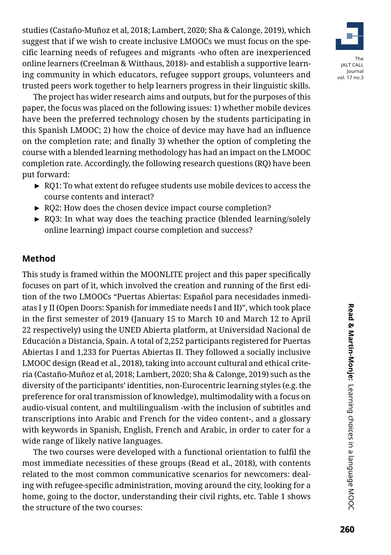studies (Castaño-Muñoz et al, 2018; Lambert, 2020; Sha & Calonge, 2019), which suggest that if we wish to create inclusive LMOOCs we must focus on the specific learning needs of refugees and migrants -who often are inexperienced online learners (Creelman & Witthaus, 2018)- and establish a supportive learning community in which educators, refugee support groups, volunteers and trusted peers work together to help learners progress in their linguistic skills.

The project has wider research aims and outputs, but for the purposes of this paper, the focus was placed on the following issues: 1) whether mobile devices have been the preferred technology chosen by the students participating in this Spanish LMOOC; 2) how the choice of device may have had an influence on the completion rate; and finally 3) whether the option of completing the course with a blended learning methodology has had an impact on the LMOOC completion rate. Accordingly, the following research questions (RQ) have been put forward:

- ► RQ1: To what extent do refugee students use mobile devices to access the course contents and interact?
- ► RQ2: How does the chosen device impact course completion?
- ► RQ3: In what way does the teaching practice (blended learning/solely online learning) impact course completion and success?

# **Method**

This study is framed within the MOONLITE project and this paper specifically focuses on part of it, which involved the creation and running of the first edition of the two LMOOCs "Puertas Abiertas: Español para necesidades inmediatas I y II (Open Doors: Spanish for immediate needs I and II)", which took place in the first semester of 2019 (January 15 to March 10 and March 12 to April 22 respectively) using the UNED Abierta platform, at Universidad Nacional de Educación a Distancia, Spain. A total of 2,252 participants registered for Puertas Abiertas I and 1,233 for Puertas Abiertas II. They followed a socially inclusive LMOOC design (Read et al., 2018), taking into account cultural and ethical criteria (Castaño-Muñoz et al, 2018; Lambert, 2020; Sha & Calonge, 2019) such as the diversity of the participants' identities, non-Eurocentric learning styles (e.g. the preference for oral transmission of knowledge), multimodality with a focus on audio-visual content, and multilingualism -with the inclusion of subtitles and transcriptions into Arabic and French for the video content-, and a glossary with keywords in Spanish, English, French and Arabic, in order to cater for a wide range of likely native languages.

The two courses were developed with a functional orientation to fulfil the most immediate necessities of these groups (Read et al., 2018), with contents related to the most common communicative scenarios for newcomers: dealing with refugee-specific administration, moving around the city, looking for a home, going to the doctor, understanding their civil rights, etc. Table 1 shows the structure of the two courses:

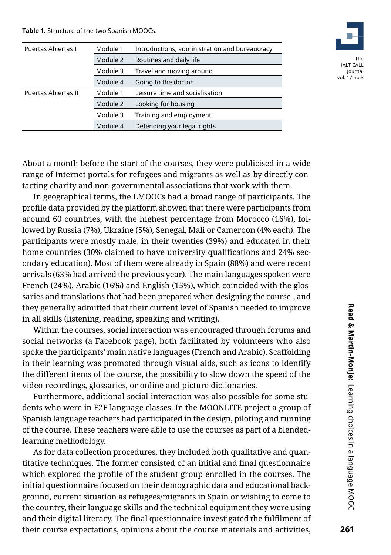**Table 1.** Structure of the two Spanish MOOCs.

| Puertas Abiertas I  | Module 1 | Introductions, administration and bureaucracy |
|---------------------|----------|-----------------------------------------------|
|                     | Module 2 | Routines and daily life                       |
|                     | Module 3 | Travel and moving around                      |
|                     | Module 4 | Going to the doctor                           |
| Puertas Abiertas II | Module 1 | Leisure time and socialisation                |
|                     | Module 2 | Looking for housing                           |
|                     | Module 3 | Training and employment                       |
|                     | Module 4 | Defending your legal rights                   |
|                     |          |                                               |



About a month before the start of the courses, they were publicised in a wide range of Internet portals for refugees and migrants as well as by directly contacting charity and non-governmental associations that work with them.

In geographical terms, the LMOOCs had a broad range of participants. The profile data provided by the platform showed that there were participants from around 60 countries, with the highest percentage from Morocco (16%), followed by Russia (7%), Ukraine (5%), Senegal, Mali or Cameroon (4% each). The participants were mostly male, in their twenties (39%) and educated in their home countries (30% claimed to have university qualifications and 24% secondary education). Most of them were already in Spain (88%) and were recent arrivals (63% had arrived the previous year). The main languages spoken were French (24%), Arabic (16%) and English (15%), which coincided with the glossaries and translations that had been prepared when designing the course-, and they generally admitted that their current level of Spanish needed to improve in all skills (listening, reading, speaking and writing).

Within the courses, social interaction was encouraged through forums and social networks (a Facebook page), both facilitated by volunteers who also spoke the participants' main native languages (French and Arabic). Scaffolding in their learning was promoted through visual aids, such as icons to identify the different items of the course, the possibility to slow down the speed of the video-recordings, glossaries, or online and picture dictionaries.

Furthermore, additional social interaction was also possible for some students who were in F2F language classes. In the MOONLITE project a group of Spanish language teachers had participated in the design, piloting and running of the course. These teachers were able to use the courses as part of a blendedlearning methodology.

As for data collection procedures, they included both qualitative and quantitative techniques. The former consisted of an initial and final questionnaire which explored the profile of the student group enrolled in the courses. The initial questionnaire focused on their demographic data and educational background, current situation as refugees/migrants in Spain or wishing to come to the country, their language skills and the technical equipment they were using and their digital literacy. The final questionnaire investigated the fulfilment of their course expectations, opinions about the course materials and activities,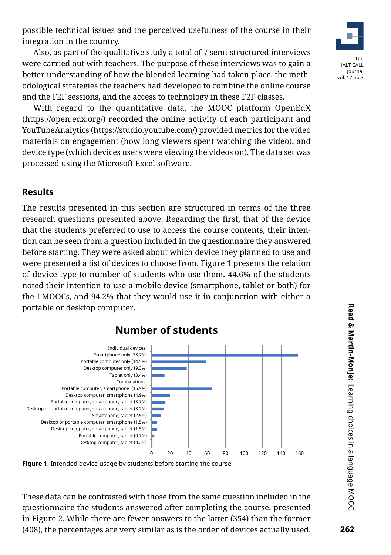possible technical issues and the perceived usefulness of the course in their integration in the country.

Also, as part of the qualitative study a total of 7 semi-structured interviews were carried out with teachers. The purpose of these interviews was to gain a better understanding of how the blended learning had taken place, the methodological strategies the teachers had developed to combine the online course and the F2F sessions, and the access to technology in these F2F classes.

With regard to the quantitative data, the MOOC platform OpenEdX (https://open.edx.org/) recorded the online activity of each participant and YouTubeAnalytics (https://studio.youtube.com/) provided metrics for the video materials on engagement (how long viewers spent watching the video), and device type (which devices users were viewing the videos on). The data set was processed using the Microsoft Excel software.

#### **Results**

The results presented in this section are structured in terms of the three research questions presented above. Regarding the first, that of the device that the students preferred to use to access the course contents, their intention can be seen from a question included in the questionnaire they answered before starting. They were asked about which device they planned to use and were presented a list of devices to choose from. Figure 1 presents the relation of device type to number of students who use them. 44.6% of the students noted their intention to use a mobile device (smartphone, tablet or both) for the LMOOCs, and 94.2% that they would use it in conjunction with either a portable or desktop computer.



**Figure 1.** Intended device usage by students before starting the course

These data can be contrasted with those from the same question included in the questionnaire the students answered after completing the course, presented in Figure 2. While there are fewer answers to the latter (354) than the former (408), the percentages are very similar as is the order of devices actually used.

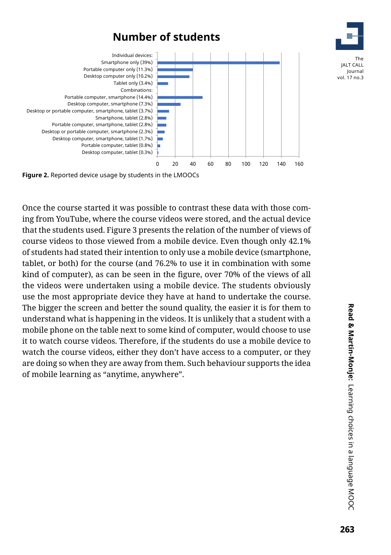

**Figure 2.** Reported device usage by students in the LMOOCs

Once the course started it was possible to contrast these data with those coming from YouTube, where the course videos were stored, and the actual device that the students used. Figure 3 presents the relation of the number of views of course videos to those viewed from a mobile device. Even though only 42.1% of students had stated their intention to only use a mobile device (smartphone, tablet, or both) for the course (and 76.2% to use it in combination with some kind of computer), as can be seen in the figure, over 70% of the views of all the videos were undertaken using a mobile device. The students obviously use the most appropriate device they have at hand to undertake the course. The bigger the screen and better the sound quality, the easier it is for them to understand what is happening in the videos. It is unlikely that a student with a mobile phone on the table next to some kind of computer, would choose to use it to watch course videos. Therefore, if the students do use a mobile device to watch the course videos, either they don't have access to a computer, or they are doing so when they are away from them. Such behaviour supports the idea of mobile learning as "anytime, anywhere".

The

Journal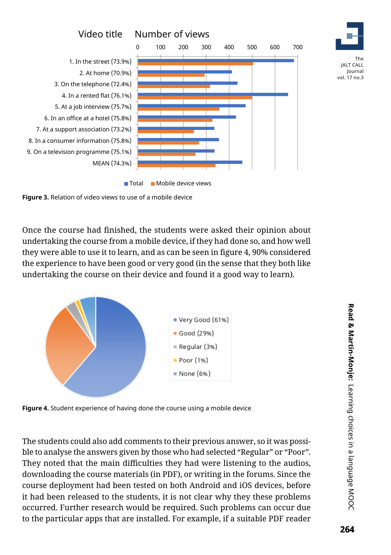



Once the course had finished, the students were asked their opinion about undertaking the course from a mobile device, if they had done so, and how well they were able to use it to learn, and as can be seen in figure 4, 90% considered the experience to have been good or very good (in the sense that they both like undertaking the course on their device and found it a good way to learn).



**Figure 4.** Student experience of having done the course using a mobile device

The students could also add comments to their previous answer, so it was possible to analyse the answers given by those who had selected "Regular" or "Poor". They noted that the main difficulties they had were listening to the audios, downloading the course materials (in PDF), or writing in the forums. Since the course deployment had been tested on both Android and iOS devices, before it had been released to the students, it is not clear why they these problems occurred. Further research would be required. Such problems can occur due to the particular apps that are installed. For example, if a suitable PDF reader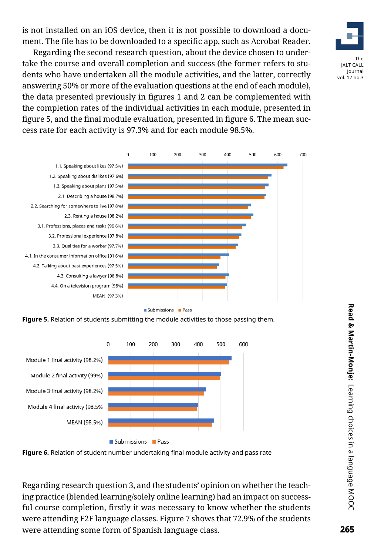is not installed on an iOS device, then it is not possible to download a document. The file has to be downloaded to a specific app, such as Acrobat Reader.

The JALT CALL Journal vol. 17 no.3

Regarding the second research question, about the device chosen to undertake the course and overall completion and success (the former refers to students who have undertaken all the module activities, and the latter, correctly answering 50% or more of the evaluation questions at the end of each module), the data presented previously in figures 1 and 2 can be complemented with the completion rates of the individual activities in each module, presented in figure 5, and the final module evaluation, presented in figure 6. The mean success rate for each activity is 97.3% and for each module 98.5%.



**Figure 5.** Relation of students submitting the module activities to those passing them.



**Figure 6.** Relation of student number undertaking final module activity and pass rate

Regarding research question 3, and the students' opinion on whether the teaching practice (blended learning/solely online learning) had an impact on successful course completion, firstly it was necessary to know whether the students were attending F2F language classes. Figure 7 shows that 72.9% of the students were attending some form of Spanish language class.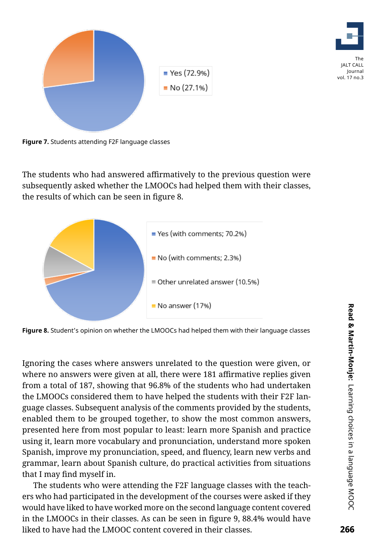

**Figure 7.** Students attending F2F language classes

The students who had answered affirmatively to the previous question were subsequently asked whether the LMOOCs had helped them with their classes, the results of which can be seen in figure 8.



**Figure 8.** Student's opinion on whether the LMOOCs had helped them with their language classes

Ignoring the cases where answers unrelated to the question were given, or where no answers were given at all, there were 181 affirmative replies given from a total of 187, showing that 96.8% of the students who had undertaken the LMOOCs considered them to have helped the students with their F2F language classes. Subsequent analysis of the comments provided by the students, enabled them to be grouped together, to show the most common answers, presented here from most popular to least: learn more Spanish and practice using it, learn more vocabulary and pronunciation, understand more spoken Spanish, improve my pronunciation, speed, and fluency, learn new verbs and grammar, learn about Spanish culture, do practical activities from situations that I may find myself in.

The students who were attending the F2F language classes with the teachers who had participated in the development of the courses were asked if they would have liked to have worked more on the second language content covered in the LMOOCs in their classes. As can be seen in figure 9, 88.4% would have liked to have had the LMOOC content covered in their classes.

The JALT CALL Journal vol. 17 no.3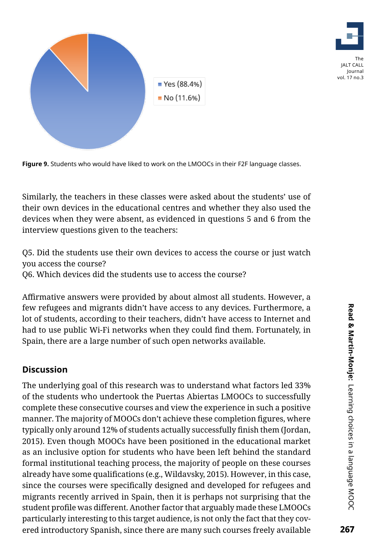



**Figure 9.** Students who would have liked to work on the LMOOCs in their F2F language classes.

Similarly, the teachers in these classes were asked about the students' use of their own devices in the educational centres and whether they also used the devices when they were absent, as evidenced in questions 5 and 6 from the interview questions given to the teachers:

Q5. Did the students use their own devices to access the course or just watch you access the course?

Q6. Which devices did the students use to access the course?

Affirmative answers were provided by about almost all students. However, a few refugees and migrants didn't have access to any devices. Furthermore, a lot of students, according to their teachers, didn't have access to Internet and had to use public Wi-Fi networks when they could find them. Fortunately, in Spain, there are a large number of such open networks available.

#### **Discussion**

The underlying goal of this research was to understand what factors led 33% of the students who undertook the Puertas Abiertas LMOOCs to successfully complete these consecutive courses and view the experience in such a positive manner. The majority of MOOCs don't achieve these completion figures, where typically only around 12% of students actually successfully finish them (Jordan, 2015). Even though MOOCs have been positioned in the educational market as an inclusive option for students who have been left behind the standard formal institutional teaching process, the majority of people on these courses already have some qualifications (e.g., Wildavsky, 2015). However, in this case, since the courses were specifically designed and developed for refugees and migrants recently arrived in Spain, then it is perhaps not surprising that the student profile was different. Another factor that arguably made these LMOOCs particularly interesting to this target audience, is not only the fact that they covered introductory Spanish, since there are many such courses freely available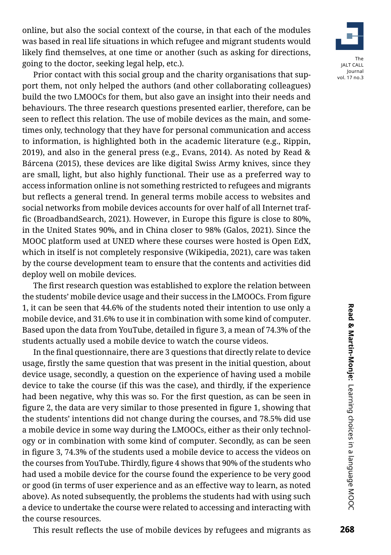online, but also the social context of the course, in that each of the modules was based in real life situations in which refugee and migrant students would likely find themselves, at one time or another (such as asking for directions, going to the doctor, seeking legal help, etc.).

Prior contact with this social group and the charity organisations that support them, not only helped the authors (and other collaborating colleagues) build the two LMOOCs for them, but also gave an insight into their needs and behaviours. The three research questions presented earlier, therefore, can be seen to reflect this relation. The use of mobile devices as the main, and sometimes only, technology that they have for personal communication and access to information, is highlighted both in the academic literature (e.g., Rippin, 2019), and also in the general press (e.g., Evans, 2014). As noted by Read & Bárcena (2015), these devices are like digital Swiss Army knives, since they are small, light, but also highly functional. Their use as a preferred way to access information online is not something restricted to refugees and migrants but reflects a general trend. In general terms mobile access to websites and social networks from mobile devices accounts for over half of all Internet traffic (BroadbandSearch, 2021). However, in Europe this figure is close to 80%, in the United States 90%, and in China closer to 98% (Galos, 2021). Since the MOOC platform used at UNED where these courses were hosted is Open EdX, which in itself is not completely responsive (Wikipedia, 2021), care was taken by the course development team to ensure that the contents and activities did deploy well on mobile devices.

The first research question was established to explore the relation between the students' mobile device usage and their success in the LMOOCs. From figure 1, it can be seen that 44.6% of the students noted their intention to use only a mobile device, and 31.6% to use it in combination with some kind of computer. Based upon the data from YouTube, detailed in figure 3, a mean of 74.3% of the students actually used a mobile device to watch the course videos.

In the final questionnaire, there are 3 questions that directly relate to device usage, firstly the same question that was present in the initial question, about device usage, secondly, a question on the experience of having used a mobile device to take the course (if this was the case), and thirdly, if the experience had been negative, why this was so. For the first question, as can be seen in figure 2, the data are very similar to those presented in figure 1, showing that the students' intentions did not change during the courses, and 78.5% did use a mobile device in some way during the LMOOCs, either as their only technology or in combination with some kind of computer. Secondly, as can be seen in figure 3, 74.3% of the students used a mobile device to access the videos on the courses from YouTube. Thirdly, figure 4 shows that 90% of the students who had used a mobile device for the course found the experience to be very good or good (in terms of user experience and as an effective way to learn, as noted above). As noted subsequently, the problems the students had with using such a device to undertake the course were related to accessing and interacting with the course resources.



This result reflects the use of mobile devices by refugees and migrants as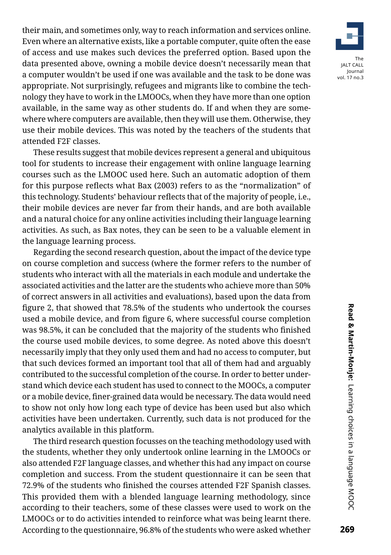their main, and sometimes only, way to reach information and services online. Even where an alternative exists, like a portable computer, quite often the ease of access and use makes such devices the preferred option. Based upon the data presented above, owning a mobile device doesn't necessarily mean that a computer wouldn't be used if one was available and the task to be done was appropriate. Not surprisingly, refugees and migrants like to combine the technology they have to work in the LMOOCs, when they have more than one option available, in the same way as other students do. If and when they are somewhere where computers are available, then they will use them. Otherwise, they use their mobile devices. This was noted by the teachers of the students that attended F2F classes.

These results suggest that mobile devices represent a general and ubiquitous tool for students to increase their engagement with online language learning courses such as the LMOOC used here. Such an automatic adoption of them for this purpose reflects what Bax (2003) refers to as the "normalization" of this technology. Students' behaviour reflects that of the majority of people, i.e., their mobile devices are never far from their hands, and are both available and a natural choice for any online activities including their language learning activities. As such, as Bax notes, they can be seen to be a valuable element in the language learning process.

Regarding the second research question, about the impact of the device type on course completion and success (where the former refers to the number of students who interact with all the materials in each module and undertake the associated activities and the latter are the students who achieve more than 50% of correct answers in all activities and evaluations), based upon the data from figure 2, that showed that 78.5% of the students who undertook the courses used a mobile device, and from figure 6, where successful course completion was 98.5%, it can be concluded that the majority of the students who finished the course used mobile devices, to some degree. As noted above this doesn't necessarily imply that they only used them and had no access to computer, but that such devices formed an important tool that all of them had and arguably contributed to the successful completion of the course. In order to better understand which device each student has used to connect to the MOOCs, a computer or a mobile device, finer-grained data would be necessary. The data would need to show not only how long each type of device has been used but also which activities have been undertaken. Currently, such data is not produced for the analytics available in this platform.

The third research question focusses on the teaching methodology used with the students, whether they only undertook online learning in the LMOOCs or also attended F2F language classes, and whether this had any impact on course completion and success. From the student questionnaire it can be seen that 72.9% of the students who finished the courses attended F2F Spanish classes. This provided them with a blended language learning methodology, since according to their teachers, some of these classes were used to work on the LMOOCs or to do activities intended to reinforce what was being learnt there. According to the questionnaire, 96.8% of the students who were asked whether

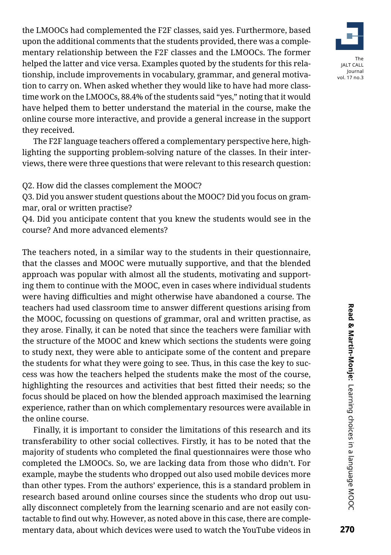the LMOOCs had complemented the F2F classes, said yes. Furthermore, based upon the additional comments that the students provided, there was a complementary relationship between the F2F classes and the LMOOCs. The former helped the latter and vice versa. Examples quoted by the students for this relationship, include improvements in vocabulary, grammar, and general motivation to carry on. When asked whether they would like to have had more classtime work on the LMOOCs, 88.4% of the students said "yes," noting that it would have helped them to better understand the material in the course, make the online course more interactive, and provide a general increase in the support they received.

The F2F language teachers offered a complementary perspective here, highlighting the supporting problem-solving nature of the classes. In their interviews, there were three questions that were relevant to this research question:

Q2. How did the classes complement the MOOC?

Q3. Did you answer student questions about the MOOC? Did you focus on grammar, oral or written practise?

Q4. Did you anticipate content that you knew the students would see in the course? And more advanced elements?

The teachers noted, in a similar way to the students in their questionnaire, that the classes and MOOC were mutually supportive, and that the blended approach was popular with almost all the students, motivating and supporting them to continue with the MOOC, even in cases where individual students were having difficulties and might otherwise have abandoned a course. The teachers had used classroom time to answer different questions arising from the MOOC, focussing on questions of grammar, oral and written practise, as they arose. Finally, it can be noted that since the teachers were familiar with the structure of the MOOC and knew which sections the students were going to study next, they were able to anticipate some of the content and prepare the students for what they were going to see. Thus, in this case the key to success was how the teachers helped the students make the most of the course, highlighting the resources and activities that best fitted their needs; so the focus should be placed on how the blended approach maximised the learning experience, rather than on which complementary resources were available in the online course.

Finally, it is important to consider the limitations of this research and its transferability to other social collectives. Firstly, it has to be noted that the majority of students who completed the final questionnaires were those who completed the LMOOCs. So, we are lacking data from those who didn't. For example, maybe the students who dropped out also used mobile devices more than other types. From the authors' experience, this is a standard problem in research based around online courses since the students who drop out usually disconnect completely from the learning scenario and are not easily contactable to find out why. However, as noted above in this case, there are complementary data, about which devices were used to watch the YouTube videos in

The JALT CALL Journal vol. 17 no.3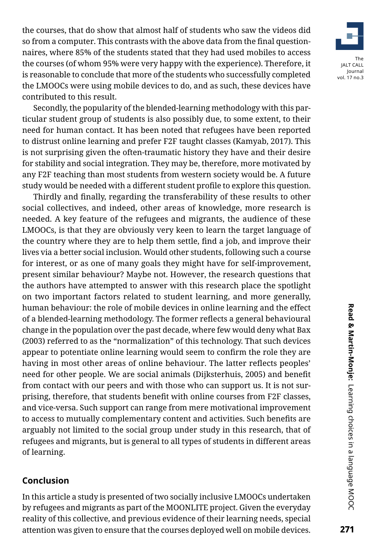

the courses, that do show that almost half of students who saw the videos did so from a computer. This contrasts with the above data from the final questionnaires, where 85% of the students stated that they had used mobiles to access the courses (of whom 95% were very happy with the experience). Therefore, it is reasonable to conclude that more of the students who successfully completed the LMOOCs were using mobile devices to do, and as such, these devices have contributed to this result.

Secondly, the popularity of the blended-learning methodology with this particular student group of students is also possibly due, to some extent, to their need for human contact. It has been noted that refugees have been reported to distrust online learning and prefer F2F taught classes (Kamyab, 2017). This is not surprising given the often-traumatic history they have and their desire for stability and social integration. They may be, therefore, more motivated by any F2F teaching than most students from western society would be. A future study would be needed with a different student profile to explore this question.

Thirdly and finally, regarding the transferability of these results to other social collectives, and indeed, other areas of knowledge, more research is needed. A key feature of the refugees and migrants, the audience of these LMOOCs, is that they are obviously very keen to learn the target language of the country where they are to help them settle, find a job, and improve their lives via a better social inclusion. Would other students, following such a course for interest, or as one of many goals they might have for self-improvement, present similar behaviour? Maybe not. However, the research questions that the authors have attempted to answer with this research place the spotlight on two important factors related to student learning, and more generally, human behaviour: the role of mobile devices in online learning and the effect of a blended-learning methodology. The former reflects a general behavioural change in the population over the past decade, where few would deny what Bax (2003) referred to as the "normalization" of this technology. That such devices appear to potentiate online learning would seem to confirm the role they are having in most other areas of online behaviour. The latter reflects peoples' need for other people. We are social animals (Dijksterhuis, 2005) and benefit from contact with our peers and with those who can support us. It is not surprising, therefore, that students benefit with online courses from F2F classes, and vice-versa. Such support can range from mere motivational improvement to access to mutually complementary content and activities. Such benefits are arguably not limited to the social group under study in this research, that of refugees and migrants, but is general to all types of students in different areas of learning.

# **Conclusion**

In this article a study is presented of two socially inclusive LMOOCs undertaken by refugees and migrants as part of the MOONLITE project. Given the everyday reality of this collective, and previous evidence of their learning needs, special attention was given to ensure that the courses deployed well on mobile devices.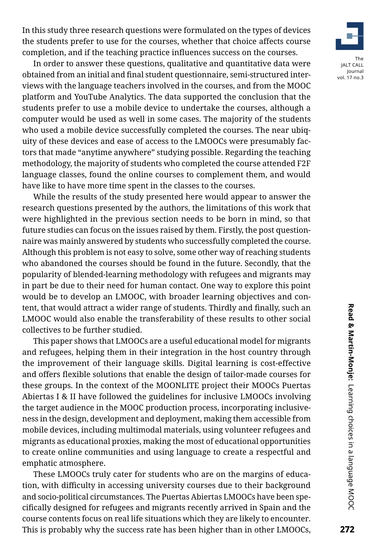In this study three research questions were formulated on the types of devices the students prefer to use for the courses, whether that choice affects course completion, and if the teaching practice influences success on the courses.

In order to answer these questions, qualitative and quantitative data were obtained from an initial and final student questionnaire, semi-structured interviews with the language teachers involved in the courses, and from the MOOC platform and YouTube Analytics. The data supported the conclusion that the students prefer to use a mobile device to undertake the courses, although a computer would be used as well in some cases. The majority of the students who used a mobile device successfully completed the courses. The near ubiquity of these devices and ease of access to the LMOOCs were presumably factors that made "anytime anywhere" studying possible. Regarding the teaching methodology, the majority of students who completed the course attended F2F language classes, found the online courses to complement them, and would have like to have more time spent in the classes to the courses.

While the results of the study presented here would appear to answer the research questions presented by the authors, the limitations of this work that were highlighted in the previous section needs to be born in mind, so that future studies can focus on the issues raised by them. Firstly, the post questionnaire was mainly answered by students who successfully completed the course. Although this problem is not easy to solve, some other way of reaching students who abandoned the courses should be found in the future. Secondly, that the popularity of blended-learning methodology with refugees and migrants may in part be due to their need for human contact. One way to explore this point would be to develop an LMOOC, with broader learning objectives and content, that would attract a wider range of students. Thirdly and finally, such an LMOOC would also enable the transferability of these results to other social collectives to be further studied.

This paper shows that LMOOCs are a useful educational model for migrants and refugees, helping them in their integration in the host country through the improvement of their language skills. Digital learning is cost-effective and offers flexible solutions that enable the design of tailor-made courses for these groups. In the context of the MOONLITE project their MOOCs Puertas Abiertas I & II have followed the guidelines for inclusive LMOOCs involving the target audience in the MOOC production process, incorporating inclusiveness in the design, development and deployment, making them accessible from mobile devices, including multimodal materials, using volunteer refugees and migrants as educational proxies, making the most of educational opportunities to create online communities and using language to create a respectful and emphatic atmosphere.

These LMOOCs truly cater for students who are on the margins of education, with difficulty in accessing university courses due to their background and socio-political circumstances. The Puertas Abiertas LMOOCs have been specifically designed for refugees and migrants recently arrived in Spain and the course contents focus on real life situations which they are likely to encounter. This is probably why the success rate has been higher than in other LMOOCs,

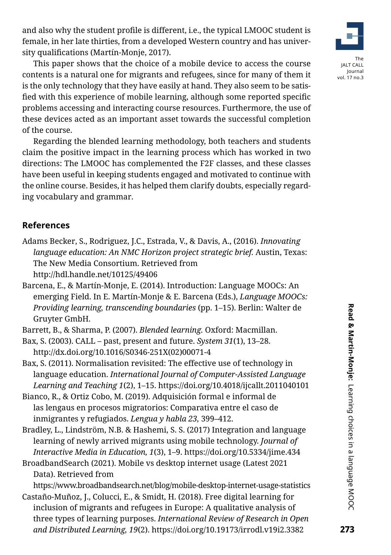and also why the student profile is different, i.e., the typical LMOOC student is female, in her late thirties, from a developed Western country and has university qualifications (Martín-Monje, 2017).

This paper shows that the choice of a mobile device to access the course contents is a natural one for migrants and refugees, since for many of them it is the only technology that they have easily at hand. They also seem to be satisfied with this experience of mobile learning, although some reported specific problems accessing and interacting course resources. Furthermore, the use of these devices acted as an important asset towards the successful completion of the course.

Regarding the blended learning methodology, both teachers and students claim the positive impact in the learning process which has worked in two directions: The LMOOC has complemented the F2F classes, and these classes have been useful in keeping students engaged and motivated to continue with the online course. Besides, it has helped them clarify doubts, especially regarding vocabulary and grammar.

# **References**

- Adams Becker, S., Rodriguez, J.C., Estrada, V., & Davis, A., (2016). *Innovating language education: An NMC Horizon project strategic brief.* Austin, Texas: The New Media Consortium. Retrieved from http://hdl.handle.net/10125/49406
- Barcena, E., & Martín-Monje, E. (2014). Introduction: Language MOOCs: An emerging Field. In E. Martín-Monje & E. Barcena (Eds.), *Language MOOCs: Providing learning, transcending boundaries* (pp. 1–15). Berlin: Walter de Gruyter GmbH.
- Barrett, B., & Sharma, P. (2007). *Blended learning.* Oxford: Macmillan.
- Bax, S. (2003). CALL past, present and future. *System 31*(1), 13–28. http://dx.doi.org/10.1016/S0346-251X(02)00071-4
- Bax, S. (2011). Normalisation revisited: The effective use of technology in language education. *International Journal of Computer-Assisted Language Learning and Teaching 1*(2), 1–15. https://doi.org/10.4018/ijcallt.2011040101
- Bianco, R., & Ortiz Cobo, M. (2019). Adquisición formal e informal de las lengaus en procesos migratorios: Comparativa entre el caso de inmigrantes y refugiados. *Lengua y habla 23,* 399–412.
- Bradley, L., Lindström, N.B. & Hashemi, S. S. (2017) Integration and language learning of newly arrived migrants using mobile technology. *Journal of Interactive Media in Education, 1*(3), 1–9. https://doi.org/10.5334/jime.434
- BroadbandSearch (2021). Mobile vs desktop internet usage (Latest 2021 Data). Retrieved from

https://www.broadbandsearch.net/blog/mobile-desktop-internet-usage-statistics Castaño-Muñoz, J., Colucci, E., & Smidt, H. (2018). Free digital learning for inclusion of migrants and refugees in Europe: A qualitative analysis of three types of learning purposes. *International Review of Research in Open and Distributed Learning, 19*(2). https://doi.org/10.19173/irrodl.v19i2.3382

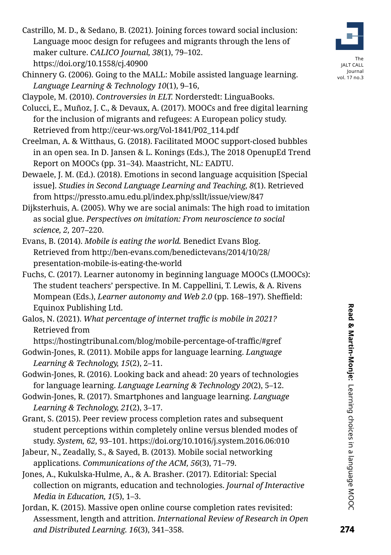- Castrillo, M. D., & Sedano, B. (2021). Joining forces toward social inclusion: Language mooc design for refugees and migrants through the lens of maker culture. *CALICO Journal, 38*(1), 79–102. https://doi.org/10.1558/cj.40900
- Chinnery G. (2006). Going to the MALL: Mobile assisted language learning. *Language Learning & Technology 10*(1), 9–16,

Claypole, M. (2010). *Controversies in ELT.* Norderstedt: LinguaBooks.

- Colucci, E., Muñoz, J. C., & Devaux, A. (2017). MOOCs and free digital learning for the inclusion of migrants and refugees: A European policy study. Retrieved from http://ceur-ws.org/Vol-1841/P02\_114.pdf
- Creelman, A. & Witthaus, G. (2018). Facilitated MOOC support-closed bubbles in an open sea. In D. Jansen & L. Konings (Eds.), The 2018 OpenupEd Trend Report on MOOCs (pp. 31–34). Maastricht, NL: EADTU.
- Dewaele, J. M. (Ed.). (2018). Emotions in second language acquisition [Special issue]. *Studies in Second Language Learning and Teaching, 8*(1). Retrieved from https://pressto.amu.edu.pl/index.php/ssllt/issue/view/847
- Dijksterhuis, A. (2005). Why we are social animals: The high road to imitation as social glue. *Perspectives on imitation: From neuroscience to social science, 2,* 207–220.
- Evans, B. (2014). *Mobile is eating the world.* Benedict Evans Blog. Retrieved from [http://ben-evans.com/benedictevans/2014/10/28/](http://ben-evans.com/benedictevans/2014/10/28/presentation-mobile-is-eating-the-world) [presentation-mobile-is-eating-the-world](http://ben-evans.com/benedictevans/2014/10/28/presentation-mobile-is-eating-the-world)
- Fuchs, C. (2017). Learner autonomy in beginning language MOOCs (LMOOCs): The student teachers' perspective. In M. Cappellini, T. Lewis, & A. Rivens Mompean (Eds.), *Learner autonomy and Web 2.0* (pp. 168–197). Sheffield: Equinox Publishing Ltd.
- Galos, N. (2021). *What percentage of internet traffic is mobile in 2021?* Retrieved from

https://hostingtribunal.com/blog/mobile-percentage-of-traffic/#gref Godwin-Jones, R. (2011). Mobile apps for language learning. *Language Learning & Technology, 15*(2), 2–11.

- Godwin-Jones, R. (2016). Looking back and ahead: 20 years of technologies for language learning. *Language Learning & Technology 20*(2), 5–12.
- Godwin-Jones, R. (2017). Smartphones and language learning. *Language Learning & Technology, 21*(2), 3–17.
- Grant, S. (2015). Peer review process completion rates and subsequent student perceptions within completely online versus blended modes of study. *System, 62,* 93–101. https://doi.org/10.1016/j.system.2016.06:010
- Jabeur, N., Zeadally, S., & Sayed, B. (2013). Mobile social networking applications. *Communications of the ACM, 56*(3), 71–79.
- Jones, A., Kukulska-Hulme, A., & A. Brasher. (2017). Editorial: Special collection on migrants, education and technologies. *Journal of Interactive Media in Education, 1*(5), 1–3.
- Jordan, K. (2015). Massive open online course completion rates revisited: Assessment, length and attrition. *International Review of Research in Open and Distributed Learning. 16*(3), 341–358.



JALT CALL Journal vol. 17 no.3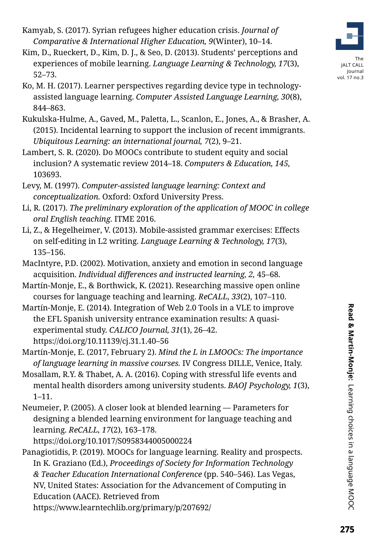- Kamyab, S. (2017). Syrian refugees higher education crisis. *Journal of Comparative & International Higher Education, 9*(Winter), 10–14.
- Kim, D., Rueckert, D., Kim, D. J., & Seo, D. (2013). Students' perceptions and experiences of mobile learning. *Language Learning & Technology, 17*(3), 52–73.
- Ko, M. H. (2017). Learner perspectives regarding device type in technologyassisted language learning. *Computer Assisted Language Learning, 30*(8), 844–863.
- Kukulska-Hulme, A., Gaved, M., Paletta, L., Scanlon, E., Jones, A., & Brasher, A. (2015). Incidental learning to support the inclusion of recent immigrants. *Ubiquitous Learning: an international journal, 7*(2), 9–21.
- Lambert, S. R. (2020). Do MOOCs contribute to student equity and social inclusion? A systematic review 2014–18. *Computers & Education, 145,* 103693.
- Levy, M. (1997). *Computer-assisted language learning: Context and conceptualization.* Oxford: Oxford University Press.
- Li, R. (2017). *The preliminary exploration of the application of MOOC in college oral English teaching.* ITME 2016.
- Li, Z., & Hegelheimer, V. (2013). Mobile-assisted grammar exercises: Effects on self-editing in L2 writing. *Language Learning & Technology, 17*(3), 135–156.
- MacIntyre, P.D. (2002). Motivation, anxiety and emotion in second language acquisition. *Individual differences and instructed learning, 2,* 45–68.
- Martín-Monje, E., & Borthwick, K. (2021). Researching massive open online courses for language teaching and learning. *ReCALL, 33*(2), 107–110.
- Martín-Monje, E. (2014). Integration of Web 2.0 Tools in a VLE to improve the EFL Spanish university entrance examination results: A quasiexperimental study. *CALICO Journal, 31*(1), 26–42. https://doi.org/10.11139/cj.31.1.40–56
- Martín-Monje, E. (2017, February 2). *Mind the L in LMOOCs: The importance of language learning in massive courses.* IV Congress DILLE, Venice, Italy.
- Mosallam, R.Y. & Thabet, A. A. (2016). Coping with stressful life events and mental health disorders among university students. *BAOJ Psychology, 1*(3), 1–11.
- Neumeier, P. (2005). A closer look at blended learning Parameters for designing a blended learning environment for language teaching and learning. *ReCALL, 17*(2), 163–178.

https://doi.org/10.1017/S0958344005000224

Panagiotidis, P. (2019). MOOCs for language learning. Reality and prospects. In K. Graziano (Ed.), *Proceedings of Society for Information Technology & Teacher Education International Conference* (pp. 540–546). Las Vegas, NV, United States: Association for the Advancement of Computing in Education (AACE). Retrieved from https://www.learntechlib.org/primary/p/207692/



vol. 17 no.3